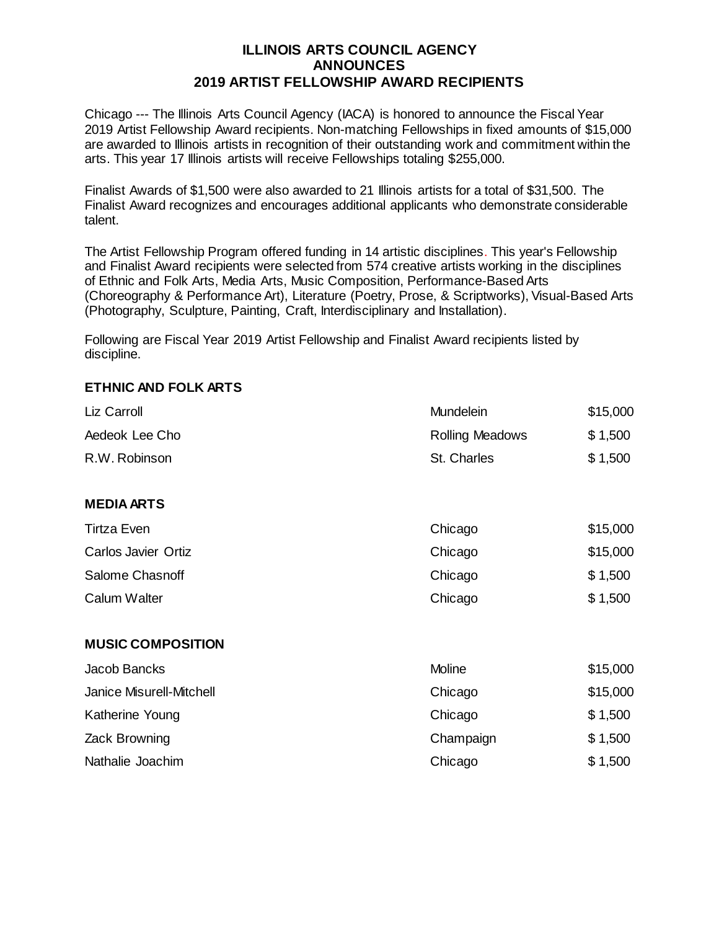## **ILLINOIS ARTS COUNCIL AGENCY ANNOUNCES 2019 ARTIST FELLOWSHIP AWARD RECIPIENTS**

Chicago --- The Illinois Arts Council Agency (IACA) is honored to announce the Fiscal Year 2019 Artist Fellowship Award recipients. Non-matching Fellowships in fixed amounts of \$15,000 are awarded to Illinois artists in recognition of their outstanding work and commitment within the arts. This year 17 Illinois artists will receive Fellowships totaling \$255,000.

Finalist Awards of \$1,500 were also awarded to 21 Illinois artists for a total of \$31,500. The Finalist Award recognizes and encourages additional applicants who demonstrate considerable talent.

The Artist Fellowship Program offered funding in 14 artistic disciplines. This year's Fellowship and Finalist Award recipients were selected from 574 creative artists working in the disciplines of Ethnic and Folk Arts, Media Arts, Music Composition, Performance-Based Arts (Choreography & Performance Art), Literature (Poetry, Prose, & Scriptworks), Visual-Based Arts (Photography, Sculpture, Painting, Craft, Interdisciplinary and Installation).

Following are Fiscal Year 2019 Artist Fellowship and Finalist Award recipients listed by discipline.

## **ETHNIC AND FOLK ARTS**

| Liz Carroll              | Mundelein       | \$15,000 |
|--------------------------|-----------------|----------|
| Aedeok Lee Cho           | Rolling Meadows | \$1,500  |
| R.W. Robinson            | St. Charles     | \$1,500  |
| <b>MEDIA ARTS</b>        |                 |          |
| <b>Tirtza Even</b>       | Chicago         | \$15,000 |
| Carlos Javier Ortiz      | Chicago         | \$15,000 |
| Salome Chasnoff          | Chicago         | \$1,500  |
| <b>Calum Walter</b>      | Chicago         | \$1,500  |
| <b>MUSIC COMPOSITION</b> |                 |          |
| Jacob Bancks             | Moline          | \$15,000 |
| Janice Misurell-Mitchell | Chicago         | \$15,000 |
| Katherine Young          | Chicago         | \$1,500  |
| Zack Browning            | Champaign       | \$1,500  |
| Nathalie Joachim         | Chicago         | \$1,500  |
|                          |                 |          |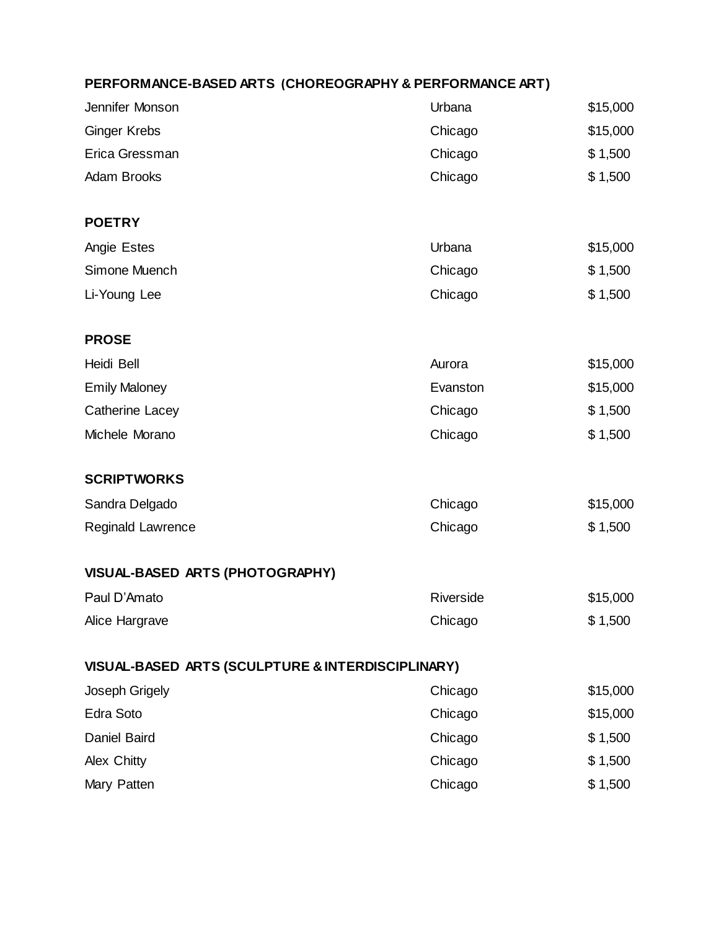## **PERFORMANCE-BASED ARTS (CHOREOGRAPHY & PERFORMANCE ART)**

| Jennifer Monson                                   | Urbana    | \$15,000 |
|---------------------------------------------------|-----------|----------|
| <b>Ginger Krebs</b>                               | Chicago   | \$15,000 |
| Erica Gressman                                    | Chicago   | \$1,500  |
| <b>Adam Brooks</b>                                | Chicago   | \$1,500  |
| <b>POETRY</b>                                     |           |          |
| Angie Estes                                       | Urbana    | \$15,000 |
| Simone Muench                                     | Chicago   | \$1,500  |
| Li-Young Lee                                      | Chicago   | \$1,500  |
| <b>PROSE</b>                                      |           |          |
| Heidi Bell                                        | Aurora    | \$15,000 |
| <b>Emily Maloney</b>                              | Evanston  | \$15,000 |
| <b>Catherine Lacey</b>                            | Chicago   | \$1,500  |
| Michele Morano                                    | Chicago   | \$1,500  |
| <b>SCRIPTWORKS</b>                                |           |          |
| Sandra Delgado                                    | Chicago   | \$15,000 |
| <b>Reginald Lawrence</b>                          | Chicago   | \$1,500  |
| VISUAL-BASED ARTS (PHOTOGRAPHY)                   |           |          |
| Paul D'Amato                                      | Riverside | \$15,000 |
| Alice Hargrave                                    | Chicago   | \$1,500  |
| VISUAL-BASED ARTS (SCULPTURE & INTERDISCIPLINARY) |           |          |
| Joseph Grigely                                    | Chicago   | \$15,000 |
| Edra Soto                                         | Chicago   | \$15,000 |
| Daniel Baird                                      | Chicago   | \$1,500  |
| <b>Alex Chitty</b>                                | Chicago   | \$1,500  |
| Mary Patten                                       | Chicago   | \$1,500  |